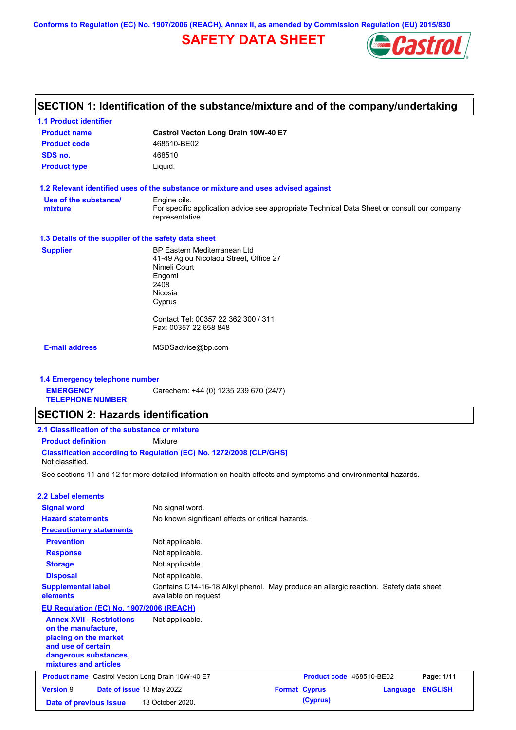**Conforms to Regulation (EC) No. 1907/2006 (REACH), Annex II, as amended by Commission Regulation (EU) 2015/830**

# **SAFETY DATA SHEET**



# **SECTION 1: Identification of the substance/mixture and of the company/undertaking**

| <b>1.1 Product identifier</b>                                                                                  |                                                                                                                |                          |                 |                |
|----------------------------------------------------------------------------------------------------------------|----------------------------------------------------------------------------------------------------------------|--------------------------|-----------------|----------------|
| <b>Product name</b>                                                                                            | Castrol Vecton Long Drain 10W-40 E7                                                                            |                          |                 |                |
| <b>Product code</b>                                                                                            | 468510-BE02                                                                                                    |                          |                 |                |
| SDS no.                                                                                                        | 468510                                                                                                         |                          |                 |                |
| <b>Product type</b>                                                                                            | Liquid.                                                                                                        |                          |                 |                |
| 1.2 Relevant identified uses of the substance or mixture and uses advised against                              |                                                                                                                |                          |                 |                |
| Use of the substance/                                                                                          | Engine oils.                                                                                                   |                          |                 |                |
| mixture                                                                                                        | For specific application advice see appropriate Technical Data Sheet or consult our company<br>representative. |                          |                 |                |
| 1.3 Details of the supplier of the safety data sheet                                                           |                                                                                                                |                          |                 |                |
| <b>Supplier</b>                                                                                                | <b>BP Eastern Mediterranean Ltd</b>                                                                            |                          |                 |                |
|                                                                                                                | 41-49 Agiou Nicolaou Street, Office 27                                                                         |                          |                 |                |
|                                                                                                                | Nimeli Court<br>Engomi                                                                                         |                          |                 |                |
|                                                                                                                | 2408                                                                                                           |                          |                 |                |
|                                                                                                                | Nicosia                                                                                                        |                          |                 |                |
|                                                                                                                | Cyprus                                                                                                         |                          |                 |                |
|                                                                                                                | Contact Tel: 00357 22 362 300 / 311<br>Fax: 00357 22 658 848                                                   |                          |                 |                |
| <b>E-mail address</b>                                                                                          | MSDSadvice@bp.com                                                                                              |                          |                 |                |
|                                                                                                                |                                                                                                                |                          |                 |                |
| 1.4 Emergency telephone number                                                                                 |                                                                                                                |                          |                 |                |
| <b>EMERGENCY</b><br><b>TELEPHONE NUMBER</b>                                                                    | Carechem: +44 (0) 1235 239 670 (24/7)                                                                          |                          |                 |                |
| <b>SECTION 2: Hazards identification</b>                                                                       |                                                                                                                |                          |                 |                |
| 2.1 Classification of the substance or mixture                                                                 |                                                                                                                |                          |                 |                |
| <b>Product definition</b>                                                                                      | Mixture                                                                                                        |                          |                 |                |
| Classification according to Regulation (EC) No. 1272/2008 [CLP/GHS]<br>Not classified.                         |                                                                                                                |                          |                 |                |
| See sections 11 and 12 for more detailed information on health effects and symptoms and environmental hazards. |                                                                                                                |                          |                 |                |
| <b>2.2 Label elements</b>                                                                                      |                                                                                                                |                          |                 |                |
| <b>Signal word</b>                                                                                             | No signal word.                                                                                                |                          |                 |                |
| <b>Hazard statements</b>                                                                                       | No known significant effects or critical hazards.                                                              |                          |                 |                |
| <b>Precautionary statements</b>                                                                                |                                                                                                                |                          |                 |                |
| <b>Prevention</b>                                                                                              | Not applicable.                                                                                                |                          |                 |                |
| <b>Response</b>                                                                                                | Not applicable.                                                                                                |                          |                 |                |
| <b>Storage</b>                                                                                                 | Not applicable.                                                                                                |                          |                 |                |
| <b>Disposal</b>                                                                                                | Not applicable.                                                                                                |                          |                 |                |
| <b>Supplemental label</b><br>elements                                                                          | Contains C14-16-18 Alkyl phenol. May produce an allergic reaction. Safety data sheet<br>available on request.  |                          |                 |                |
| EU Regulation (EC) No. 1907/2006 (REACH)                                                                       |                                                                                                                |                          |                 |                |
| <b>Annex XVII - Restrictions</b>                                                                               | Not applicable.                                                                                                |                          |                 |                |
| on the manufacture,                                                                                            |                                                                                                                |                          |                 |                |
| placing on the market                                                                                          |                                                                                                                |                          |                 |                |
| and use of certain                                                                                             |                                                                                                                |                          |                 |                |
| dangerous substances,<br>mixtures and articles                                                                 |                                                                                                                |                          |                 |                |
|                                                                                                                |                                                                                                                |                          |                 |                |
| <b>Product name</b> Castrol Vecton Long Drain 10W-40 E7                                                        |                                                                                                                | Product code 468510-BE02 |                 | Page: 1/11     |
| <b>Version 9</b>                                                                                               | Date of issue 18 May 2022                                                                                      | <b>Format Cyprus</b>     | <b>Language</b> | <b>ENGLISH</b> |
| Date of previous issue                                                                                         | 13 October 2020.                                                                                               | (Cyprus)                 |                 |                |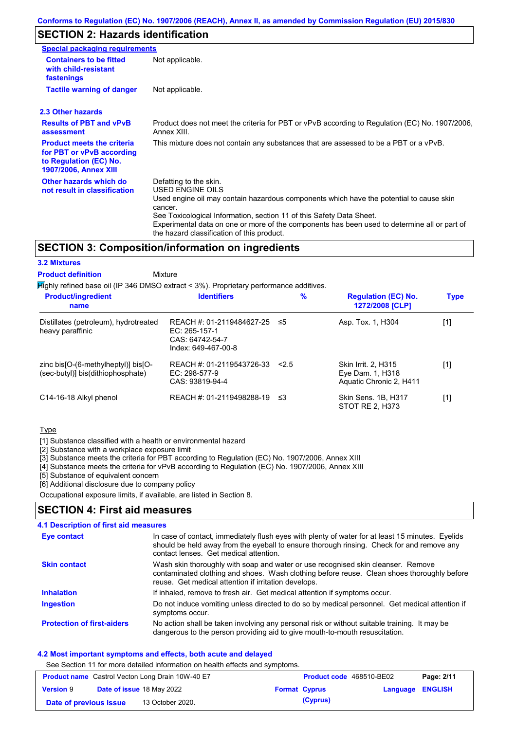## **SECTION 2: Hazards identification**

| Special packaging requirements                                                                                           |                                                                                                                                                                                                                                                                                                                                                                        |
|--------------------------------------------------------------------------------------------------------------------------|------------------------------------------------------------------------------------------------------------------------------------------------------------------------------------------------------------------------------------------------------------------------------------------------------------------------------------------------------------------------|
| <b>Containers to be fitted</b><br>with child-resistant<br>fastenings                                                     | Not applicable.                                                                                                                                                                                                                                                                                                                                                        |
| <b>Tactile warning of danger</b>                                                                                         | Not applicable.                                                                                                                                                                                                                                                                                                                                                        |
| 2.3 Other hazards                                                                                                        |                                                                                                                                                                                                                                                                                                                                                                        |
| <b>Results of PBT and vPvB</b><br>assessment                                                                             | Product does not meet the criteria for PBT or vPvB according to Regulation (EC) No. 1907/2006,<br>Annex XIII.                                                                                                                                                                                                                                                          |
| <b>Product meets the criteria</b><br>for PBT or vPvB according<br>to Regulation (EC) No.<br><b>1907/2006, Annex XIII</b> | This mixture does not contain any substances that are assessed to be a PBT or a vPvB.                                                                                                                                                                                                                                                                                  |
| Other hazards which do<br>not result in classification                                                                   | Defatting to the skin.<br>USED ENGINE OILS<br>Used engine oil may contain hazardous components which have the potential to cause skin<br>cancer.<br>See Toxicological Information, section 11 of this Safety Data Sheet.<br>Experimental data on one or more of the components has been used to determine all or part of<br>the hazard classification of this product. |

### **SECTION 3: Composition/information on ingredients**

#### **3.2 Mixtures**

**Mixture Product definition**

Highly refined base oil (IP 346 DMSO extract < 3%). Proprietary performance additives.

| <b>Product/ingredient</b><br>name                                                               | <b>Identifiers</b>                                                                   | $\frac{9}{6}$ | <b>Regulation (EC) No.</b><br>1272/2008 [CLP]                      | <b>Type</b> |
|-------------------------------------------------------------------------------------------------|--------------------------------------------------------------------------------------|---------------|--------------------------------------------------------------------|-------------|
| Distillates (petroleum), hydrotreated<br>heavy paraffinic                                       | REACH #: 01-2119484627-25<br>EC: 265-157-1<br>CAS: 64742-54-7<br>Index: 649-467-00-8 | -≤5           | Asp. Tox. 1, H304                                                  | [1]         |
| zinc bis $[O-(6-methylheptyl)]$ bis $[O-(6-methylhept/l)]$<br>(sec-butyl)] bis(dithiophosphate) | REACH #: 01-2119543726-33<br>EC: 298-577-9<br>CAS: 93819-94-4                        | < 2.5         | Skin Irrit. 2, H315<br>Eye Dam. 1, H318<br>Aquatic Chronic 2, H411 | [1]         |
| C14-16-18 Alkyl phenol                                                                          | REACH #: 01-2119498288-19                                                            | -≤3           | Skin Sens. 1B, H317<br>STOT RE 2, H373                             | [1]         |

### Type

[1] Substance classified with a health or environmental hazard

[2] Substance with a workplace exposure limit

[3] Substance meets the criteria for PBT according to Regulation (EC) No. 1907/2006, Annex XIII

[4] Substance meets the criteria for vPvB according to Regulation (EC) No. 1907/2006, Annex XIII

[5] Substance of equivalent concern

[6] Additional disclosure due to company policy

Occupational exposure limits, if available, are listed in Section 8.

### **SECTION 4: First aid measures**

#### Do not induce vomiting unless directed to do so by medical personnel. Get medical attention if symptoms occur. In case of contact, immediately flush eyes with plenty of water for at least 15 minutes. Eyelids should be held away from the eyeball to ensure thorough rinsing. Check for and remove any contact lenses. Get medical attention. **4.1 Description of first aid measures** If inhaled, remove to fresh air. Get medical attention if symptoms occur. **Ingestion Inhalation Eye contact Protection of first-aiders** No action shall be taken involving any personal risk or without suitable training. It may be dangerous to the person providing aid to give mouth-to-mouth resuscitation. **Skin contact** Wash skin thoroughly with soap and water or use recognised skin cleanser. Remove contaminated clothing and shoes. Wash clothing before reuse. Clean shoes thoroughly before reuse. Get medical attention if irritation develops.

### **4.2 Most important symptoms and effects, both acute and delayed**

See Section 11 for more detailed information on health effects and symptoms.

| <b>Product name</b> Castrol Vecton Long Drain 10W-40 E7 |  | <b>Product code</b> 468510-BE02  |  | Page: 2/11           |                         |  |
|---------------------------------------------------------|--|----------------------------------|--|----------------------|-------------------------|--|
| <b>Version 9</b>                                        |  | <b>Date of issue 18 May 2022</b> |  | <b>Format Cyprus</b> | <b>Language ENGLISH</b> |  |
| Date of previous issue                                  |  | 13 October 2020.                 |  | (Cyprus)             |                         |  |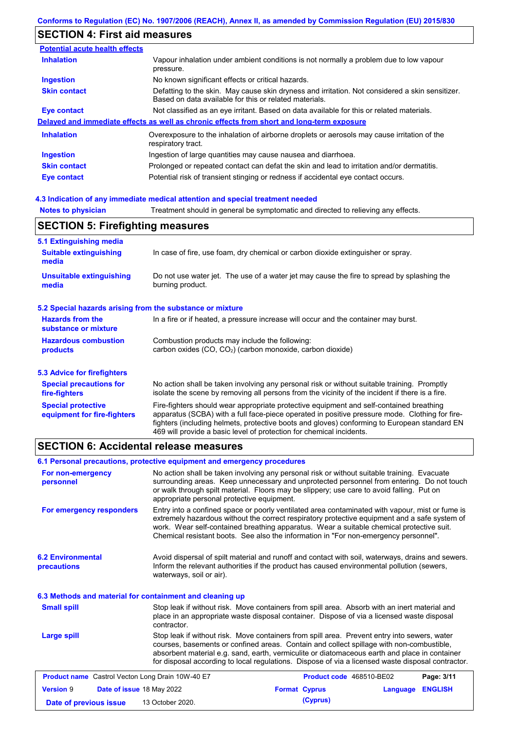# **SECTION 4: First aid measures**

| <b>Potential acute health effects</b> |                                                                                                                                                           |
|---------------------------------------|-----------------------------------------------------------------------------------------------------------------------------------------------------------|
| <b>Inhalation</b>                     | Vapour inhalation under ambient conditions is not normally a problem due to low vapour<br>pressure.                                                       |
| <b>Ingestion</b>                      | No known significant effects or critical hazards.                                                                                                         |
| <b>Skin contact</b>                   | Defatting to the skin. May cause skin dryness and irritation. Not considered a skin sensitizer.<br>Based on data available for this or related materials. |
| <b>Eye contact</b>                    | Not classified as an eye irritant. Based on data available for this or related materials.                                                                 |
|                                       | Delayed and immediate effects as well as chronic effects from short and long-term exposure                                                                |
| <b>Inhalation</b>                     | Overexposure to the inhalation of airborne droplets or aerosols may cause irritation of the<br>respiratory tract.                                         |
| <b>Ingestion</b>                      | Ingestion of large quantities may cause nausea and diarrhoea.                                                                                             |
| <b>Skin contact</b>                   | Prolonged or repeated contact can defat the skin and lead to irritation and/or dermatitis.                                                                |
| Eye contact                           | Potential risk of transient stinging or redness if accidental eye contact occurs.                                                                         |

### **4.3 Indication of any immediate medical attention and special treatment needed**

**Notes to physician** Treatment should in general be symptomatic and directed to relieving any effects.

| <b>SECTION 5: Firefighting measures</b>                   |                                                                                                                                                                                                                                                                                                                                                                   |  |  |
|-----------------------------------------------------------|-------------------------------------------------------------------------------------------------------------------------------------------------------------------------------------------------------------------------------------------------------------------------------------------------------------------------------------------------------------------|--|--|
| 5.1 Extinguishing media                                   |                                                                                                                                                                                                                                                                                                                                                                   |  |  |
| <b>Suitable extinguishing</b><br>media                    | In case of fire, use foam, dry chemical or carbon dioxide extinguisher or spray.                                                                                                                                                                                                                                                                                  |  |  |
| <b>Unsuitable extinguishing</b><br>media                  | Do not use water jet. The use of a water jet may cause the fire to spread by splashing the<br>burning product.                                                                                                                                                                                                                                                    |  |  |
| 5.2 Special hazards arising from the substance or mixture |                                                                                                                                                                                                                                                                                                                                                                   |  |  |
| <b>Hazards from the</b><br>substance or mixture           | In a fire or if heated, a pressure increase will occur and the container may burst.                                                                                                                                                                                                                                                                               |  |  |
| <b>Hazardous combustion</b><br>products                   | Combustion products may include the following:<br>carbon oxides (CO, CO <sub>2</sub> ) (carbon monoxide, carbon dioxide)                                                                                                                                                                                                                                          |  |  |
| 5.3 Advice for firefighters                               |                                                                                                                                                                                                                                                                                                                                                                   |  |  |
| <b>Special precautions for</b><br>fire-fighters           | No action shall be taken involving any personal risk or without suitable training. Promptly<br>isolate the scene by removing all persons from the vicinity of the incident if there is a fire.                                                                                                                                                                    |  |  |
| <b>Special protective</b><br>equipment for fire-fighters  | Fire-fighters should wear appropriate protective equipment and self-contained breathing<br>apparatus (SCBA) with a full face-piece operated in positive pressure mode. Clothing for fire-<br>fighters (including helmets, protective boots and gloves) conforming to European standard EN<br>469 will provide a basic level of protection for chemical incidents. |  |  |

### **SECTION 6: Accidental release measures**

### **6.1 Personal precautions, protective equipment and emergency procedures**

| For non-emergency<br>personnel                           | No action shall be taken involving any personal risk or without suitable training. Evacuate<br>surrounding areas. Keep unnecessary and unprotected personnel from entering. Do not touch<br>or walk through spilt material. Floors may be slippery; use care to avoid falling. Put on<br>appropriate personal protective equipment.                                                            |                          |          |                |
|----------------------------------------------------------|------------------------------------------------------------------------------------------------------------------------------------------------------------------------------------------------------------------------------------------------------------------------------------------------------------------------------------------------------------------------------------------------|--------------------------|----------|----------------|
| For emergency responders                                 | Entry into a confined space or poorly ventilated area contaminated with vapour, mist or fume is<br>extremely hazardous without the correct respiratory protective equipment and a safe system of<br>work. Wear self-contained breathing apparatus. Wear a suitable chemical protective suit.<br>Chemical resistant boots. See also the information in "For non-emergency personnel".           |                          |          |                |
| <b>6.2 Environmental</b><br>precautions                  | Avoid dispersal of spilt material and runoff and contact with soil, waterways, drains and sewers.<br>Inform the relevant authorities if the product has caused environmental pollution (sewers,<br>waterways, soil or air).                                                                                                                                                                    |                          |          |                |
| 6.3 Methods and material for containment and cleaning up |                                                                                                                                                                                                                                                                                                                                                                                                |                          |          |                |
| <b>Small spill</b>                                       | Stop leak if without risk. Move containers from spill area. Absorb with an inert material and<br>place in an appropriate waste disposal container. Dispose of via a licensed waste disposal<br>contractor.                                                                                                                                                                                     |                          |          |                |
| Large spill                                              | Stop leak if without risk. Move containers from spill area. Prevent entry into sewers, water<br>courses, basements or confined areas. Contain and collect spillage with non-combustible,<br>absorbent material e.g. sand, earth, vermiculite or diatomaceous earth and place in container<br>for disposal according to local regulations. Dispose of via a licensed waste disposal contractor. |                          |          |                |
| <b>Product name</b> Castrol Vecton Long Drain 10W-40 E7  |                                                                                                                                                                                                                                                                                                                                                                                                | Product code 468510-BE02 |          | Page: 3/11     |
| <b>Version 9</b><br>Date of issue 18 May 2022            |                                                                                                                                                                                                                                                                                                                                                                                                | <b>Format Cyprus</b>     | Language | <b>ENGLISH</b> |
| Date of previous issue                                   | 13 October 2020.                                                                                                                                                                                                                                                                                                                                                                               | (Cyprus)                 |          |                |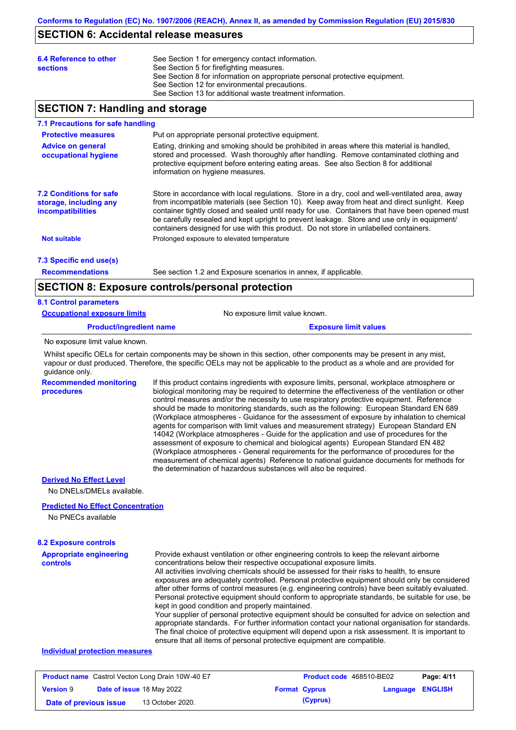### **SECTION 6: Accidental release measures**

| 6.4 Reference to other<br><b>sections</b> | See Section 1 for emergency contact information.<br>See Section 5 for firefighting measures.<br>See Section 8 for information on appropriate personal protective equipment.<br>See Section 12 for environmental precautions.<br>See Section 13 for additional waste treatment information. |
|-------------------------------------------|--------------------------------------------------------------------------------------------------------------------------------------------------------------------------------------------------------------------------------------------------------------------------------------------|
|                                           |                                                                                                                                                                                                                                                                                            |

## **SECTION 7: Handling and storage**

#### **7.1 Precautions for safe handling**

| <b>Protective measures</b>                                                           | Put on appropriate personal protective equipment.                                                                                                                                                                                                                                                                                                                                                                                                                                        |
|--------------------------------------------------------------------------------------|------------------------------------------------------------------------------------------------------------------------------------------------------------------------------------------------------------------------------------------------------------------------------------------------------------------------------------------------------------------------------------------------------------------------------------------------------------------------------------------|
| <b>Advice on general</b><br>occupational hygiene                                     | Eating, drinking and smoking should be prohibited in areas where this material is handled,<br>stored and processed. Wash thoroughly after handling. Remove contaminated clothing and<br>protective equipment before entering eating areas. See also Section 8 for additional<br>information on hygiene measures.                                                                                                                                                                         |
| <b>7.2 Conditions for safe</b><br>storage, including any<br><i>incompatibilities</i> | Store in accordance with local regulations. Store in a dry, cool and well-ventilated area, away<br>from incompatible materials (see Section 10). Keep away from heat and direct sunlight. Keep<br>container tightly closed and sealed until ready for use. Containers that have been opened must<br>be carefully resealed and kept upright to prevent leakage. Store and use only in equipment/<br>containers designed for use with this product. Do not store in unlabelled containers. |
| <b>Not suitable</b>                                                                  | Prolonged exposure to elevated temperature                                                                                                                                                                                                                                                                                                                                                                                                                                               |
| 7.3 Specific end use(s)                                                              |                                                                                                                                                                                                                                                                                                                                                                                                                                                                                          |

**Recommendations**

See section 1.2 and Exposure scenarios in annex, if applicable.

### **SECTION 8: Exposure controls/personal protection**

| <b>8.1 Control parameters</b>       |                                |
|-------------------------------------|--------------------------------|
| <b>Occupational exposure limits</b> | No exposure limit value known. |
| <b>Product/ingredient name</b>      | <b>Exposure limit values</b>   |
| No exposure limit value known.      |                                |

No exposure limit value known.

Whilst specific OELs for certain components may be shown in this section, other components may be present in any mist, vapour or dust produced. Therefore, the specific OELs may not be applicable to the product as a whole and are provided for guidance only.

**Recommended monitoring procedures** If this product contains ingredients with exposure limits, personal, workplace atmosphere or biological monitoring may be required to determine the effectiveness of the ventilation or other control measures and/or the necessity to use respiratory protective equipment. Reference should be made to monitoring standards, such as the following: European Standard EN 689 (Workplace atmospheres - Guidance for the assessment of exposure by inhalation to chemical agents for comparison with limit values and measurement strategy) European Standard EN 14042 (Workplace atmospheres - Guide for the application and use of procedures for the assessment of exposure to chemical and biological agents) European Standard EN 482 (Workplace atmospheres - General requirements for the performance of procedures for the measurement of chemical agents) Reference to national guidance documents for methods for the determination of hazardous substances will also be required.

**Derived No Effect Level**

No DNELs/DMELs available.

### **Predicted No Effect Concentration**

No PNECs available

### **Appropriate engineering controls** Provide exhaust ventilation or other engineering controls to keep the relevant airborne concentrations below their respective occupational exposure limits. All activities involving chemicals should be assessed for their risks to health, to ensure exposures are adequately controlled. Personal protective equipment should only be considered after other forms of control measures (e.g. engineering controls) have been suitably evaluated. Personal protective equipment should conform to appropriate standards, be suitable for use, be kept in good condition and properly maintained. Your supplier of personal protective equipment should be consulted for advice on selection and appropriate standards. For further information contact your national organisation for standards. The final choice of protective equipment will depend upon a risk assessment. It is important to ensure that all items of personal protective equipment are compatible. **8.2 Exposure controls Individual protection measures**

| <b>Product name</b> Castrol Vecton Long Drain 10W-40 E7 |                                  | <b>Product code</b> 468510-BE02 |                      | Page: 4/11 |                         |  |
|---------------------------------------------------------|----------------------------------|---------------------------------|----------------------|------------|-------------------------|--|
| <b>Version 9</b>                                        | <b>Date of issue 18 May 2022</b> |                                 | <b>Format Cyprus</b> |            | <b>Language ENGLISH</b> |  |
| Date of previous issue                                  |                                  | 13 October 2020.                |                      | (Cyprus)   |                         |  |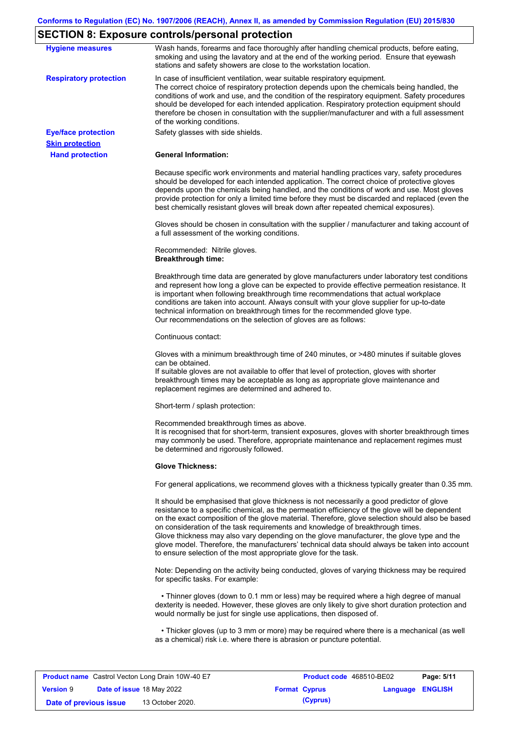# **SECTION 8: Exposure controls/personal protection**

| <b>Hygiene measures</b>                              | Wash hands, forearms and face thoroughly after handling chemical products, before eating,<br>smoking and using the lavatory and at the end of the working period. Ensure that eyewash<br>stations and safety showers are close to the workstation location.                                                                                                                                                                                                                                                                                                                                                                                       |
|------------------------------------------------------|---------------------------------------------------------------------------------------------------------------------------------------------------------------------------------------------------------------------------------------------------------------------------------------------------------------------------------------------------------------------------------------------------------------------------------------------------------------------------------------------------------------------------------------------------------------------------------------------------------------------------------------------------|
| <b>Respiratory protection</b>                        | In case of insufficient ventilation, wear suitable respiratory equipment.<br>The correct choice of respiratory protection depends upon the chemicals being handled, the<br>conditions of work and use, and the condition of the respiratory equipment. Safety procedures<br>should be developed for each intended application. Respiratory protection equipment should<br>therefore be chosen in consultation with the supplier/manufacturer and with a full assessment<br>of the working conditions.                                                                                                                                             |
| <b>Eye/face protection</b><br><b>Skin protection</b> | Safety glasses with side shields.                                                                                                                                                                                                                                                                                                                                                                                                                                                                                                                                                                                                                 |
| <b>Hand protection</b>                               | <b>General Information:</b>                                                                                                                                                                                                                                                                                                                                                                                                                                                                                                                                                                                                                       |
|                                                      | Because specific work environments and material handling practices vary, safety procedures<br>should be developed for each intended application. The correct choice of protective gloves<br>depends upon the chemicals being handled, and the conditions of work and use. Most gloves<br>provide protection for only a limited time before they must be discarded and replaced (even the<br>best chemically resistant gloves will break down after repeated chemical exposures).                                                                                                                                                                  |
|                                                      | Gloves should be chosen in consultation with the supplier / manufacturer and taking account of<br>a full assessment of the working conditions.                                                                                                                                                                                                                                                                                                                                                                                                                                                                                                    |
|                                                      | Recommended: Nitrile gloves.<br><b>Breakthrough time:</b>                                                                                                                                                                                                                                                                                                                                                                                                                                                                                                                                                                                         |
|                                                      | Breakthrough time data are generated by glove manufacturers under laboratory test conditions<br>and represent how long a glove can be expected to provide effective permeation resistance. It<br>is important when following breakthrough time recommendations that actual workplace<br>conditions are taken into account. Always consult with your glove supplier for up-to-date<br>technical information on breakthrough times for the recommended glove type.<br>Our recommendations on the selection of gloves are as follows:                                                                                                                |
|                                                      | Continuous contact:                                                                                                                                                                                                                                                                                                                                                                                                                                                                                                                                                                                                                               |
|                                                      | Gloves with a minimum breakthrough time of 240 minutes, or >480 minutes if suitable gloves<br>can be obtained.<br>If suitable gloves are not available to offer that level of protection, gloves with shorter<br>breakthrough times may be acceptable as long as appropriate glove maintenance and<br>replacement regimes are determined and adhered to.                                                                                                                                                                                                                                                                                          |
|                                                      | Short-term / splash protection:                                                                                                                                                                                                                                                                                                                                                                                                                                                                                                                                                                                                                   |
|                                                      | Recommended breakthrough times as above.<br>It is recognised that for short-term, transient exposures, gloves with shorter breakthrough times<br>may commonly be used. Therefore, appropriate maintenance and replacement regimes must<br>be determined and rigorously followed.                                                                                                                                                                                                                                                                                                                                                                  |
|                                                      | <b>Glove Thickness:</b>                                                                                                                                                                                                                                                                                                                                                                                                                                                                                                                                                                                                                           |
|                                                      | For general applications, we recommend gloves with a thickness typically greater than 0.35 mm.                                                                                                                                                                                                                                                                                                                                                                                                                                                                                                                                                    |
|                                                      | It should be emphasised that glove thickness is not necessarily a good predictor of glove<br>resistance to a specific chemical, as the permeation efficiency of the glove will be dependent<br>on the exact composition of the glove material. Therefore, glove selection should also be based<br>on consideration of the task requirements and knowledge of breakthrough times.<br>Glove thickness may also vary depending on the glove manufacturer, the glove type and the<br>glove model. Therefore, the manufacturers' technical data should always be taken into account<br>to ensure selection of the most appropriate glove for the task. |
|                                                      | Note: Depending on the activity being conducted, gloves of varying thickness may be required<br>for specific tasks. For example:                                                                                                                                                                                                                                                                                                                                                                                                                                                                                                                  |
|                                                      | • Thinner gloves (down to 0.1 mm or less) may be required where a high degree of manual<br>dexterity is needed. However, these gloves are only likely to give short duration protection and<br>would normally be just for single use applications, then disposed of.                                                                                                                                                                                                                                                                                                                                                                              |
|                                                      | • Thicker gloves (up to 3 mm or more) may be required where there is a mechanical (as well<br>as a chemical) risk i.e. where there is abrasion or puncture potential.                                                                                                                                                                                                                                                                                                                                                                                                                                                                             |

| <b>Product name</b> Castrol Vecton Long Drain 10W-40 E7 |  |                                  |  | <b>Product code</b> 468510-BE02 | Page: 5/11              |  |
|---------------------------------------------------------|--|----------------------------------|--|---------------------------------|-------------------------|--|
| <b>Version 9</b>                                        |  | <b>Date of issue 18 May 2022</b> |  | <b>Format Cyprus</b>            | <b>Language ENGLISH</b> |  |
| Date of previous issue                                  |  | 13 October 2020.                 |  | (Cyprus)                        |                         |  |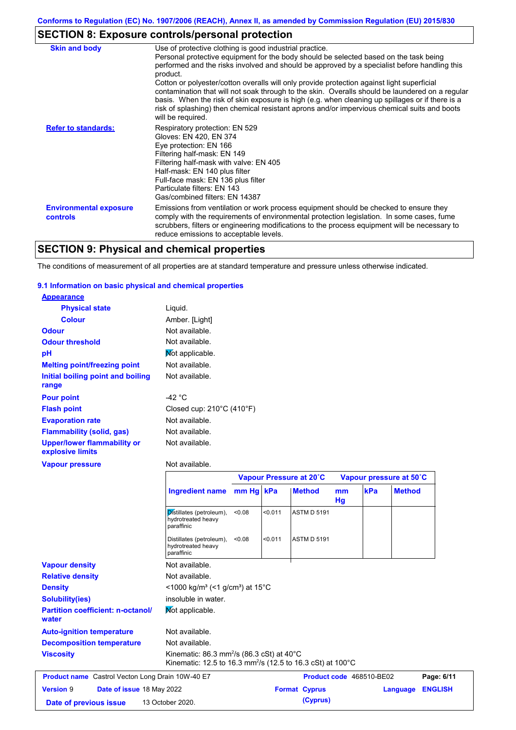# **SECTION 8: Exposure controls/personal protection**

| <b>Skin and body</b>                             | Use of protective clothing is good industrial practice.<br>Personal protective equipment for the body should be selected based on the task being<br>performed and the risks involved and should be approved by a specialist before handling this<br>product.<br>Cotton or polyester/cotton overalls will only provide protection against light superficial<br>contamination that will not soak through to the skin. Overalls should be laundered on a regular<br>basis. When the risk of skin exposure is high (e.g. when cleaning up spillages or if there is a |
|--------------------------------------------------|------------------------------------------------------------------------------------------------------------------------------------------------------------------------------------------------------------------------------------------------------------------------------------------------------------------------------------------------------------------------------------------------------------------------------------------------------------------------------------------------------------------------------------------------------------------|
| <b>Refer to standards:</b>                       | risk of splashing) then chemical resistant aprons and/or impervious chemical suits and boots<br>will be required.<br>Respiratory protection: EN 529<br>Gloves: EN 420, EN 374<br>Eye protection: EN 166<br>Filtering half-mask: EN 149<br>Filtering half-mask with valve: EN 405<br>Half-mask: EN 140 plus filter                                                                                                                                                                                                                                                |
|                                                  | Full-face mask: EN 136 plus filter<br>Particulate filters: EN 143<br>Gas/combined filters: EN 14387                                                                                                                                                                                                                                                                                                                                                                                                                                                              |
| <b>Environmental exposure</b><br><b>controls</b> | Emissions from ventilation or work process equipment should be checked to ensure they<br>comply with the requirements of environmental protection legislation. In some cases, fume<br>scrubbers, filters or engineering modifications to the process equipment will be necessary to<br>reduce emissions to acceptable levels.                                                                                                                                                                                                                                    |

# **SECTION 9: Physical and chemical properties**

The conditions of measurement of all properties are at standard temperature and pressure unless otherwise indicated.

### **9.1 Information on basic physical and chemical properties**

| <b>Appearance</b>                               |                                                |
|-------------------------------------------------|------------------------------------------------|
| <b>Physical state</b>                           | Liquid.                                        |
| <b>Colour</b>                                   | Amber. [Light]                                 |
| <b>Odour</b>                                    | Not available.                                 |
| <b>Odour threshold</b>                          | Not available.                                 |
| рH                                              | Not applicable.                                |
| <b>Melting point/freezing point</b>             | Not available.                                 |
| Initial boiling point and boiling<br>range      | Not available.                                 |
| <b>Pour point</b>                               | -42 °C                                         |
| <b>Flash point</b>                              | Closed cup: $210^{\circ}$ C (410 $^{\circ}$ F) |
| <b>Evaporation rate</b>                         | Not available.                                 |
| <b>Flammability (solid, gas)</b>                | Not available.                                 |
| Upper/lower flammability or<br>explosive limits | Not available.                                 |
| <b>Vapour pressure</b>                          | Not available.                                 |

|                                                         |                                                                                                                                             |        |         | Vapour Pressure at 20°C |          |                          | Vapour pressure at 50°C |                |
|---------------------------------------------------------|---------------------------------------------------------------------------------------------------------------------------------------------|--------|---------|-------------------------|----------|--------------------------|-------------------------|----------------|
|                                                         | Ingredient name mm Hg   kPa                                                                                                                 |        |         | <b>Method</b>           | mm<br>Hg | kPa                      | <b>Method</b>           |                |
|                                                         | Distillates (petroleum),<br>hydrotreated heavy<br>paraffinic                                                                                | < 0.08 | < 0.011 | <b>ASTM D 5191</b>      |          |                          |                         |                |
|                                                         | Distillates (petroleum),<br>hydrotreated heavy<br>paraffinic                                                                                | < 0.08 | < 0.011 | <b>ASTM D 5191</b>      |          |                          |                         |                |
| <b>Vapour density</b>                                   | Not available.                                                                                                                              |        |         |                         |          |                          |                         |                |
| <b>Relative density</b>                                 | Not available.                                                                                                                              |        |         |                         |          |                          |                         |                |
| <b>Density</b>                                          | $<$ 1000 kg/m <sup>3</sup> (<1 g/cm <sup>3</sup> ) at 15 <sup>°</sup> C                                                                     |        |         |                         |          |                          |                         |                |
| <b>Solubility(ies)</b>                                  | insoluble in water.                                                                                                                         |        |         |                         |          |                          |                         |                |
| <b>Partition coefficient: n-octanol/</b><br>water       | Mot applicable.                                                                                                                             |        |         |                         |          |                          |                         |                |
| <b>Auto-ignition temperature</b>                        | Not available.                                                                                                                              |        |         |                         |          |                          |                         |                |
| <b>Decomposition temperature</b>                        | Not available.                                                                                                                              |        |         |                         |          |                          |                         |                |
| <b>Viscosity</b>                                        | Kinematic: 86.3 mm <sup>2</sup> /s (86.3 cSt) at 40 $^{\circ}$ C<br>Kinematic: 12.5 to 16.3 mm <sup>2</sup> /s (12.5 to 16.3 cSt) at 100 °C |        |         |                         |          |                          |                         |                |
| <b>Product name</b> Castrol Vecton Long Drain 10W-40 E7 |                                                                                                                                             |        |         |                         |          | Product code 468510-BE02 |                         | Page: 6/11     |
| <b>Version 9</b><br>Date of issue 18 May 2022           |                                                                                                                                             |        |         | <b>Format Cyprus</b>    |          |                          | Language                | <b>ENGLISH</b> |
| Date of previous issue                                  | 13 October 2020.                                                                                                                            |        |         | (Cyprus)                |          |                          |                         |                |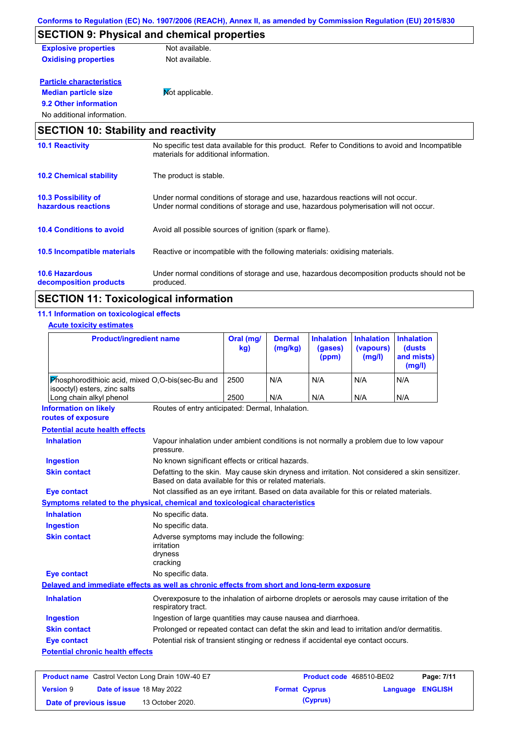|                                             | <u>CONTOMIS to Requiation (EC) NO. 1907/2000 (REACH), Annex II, as amended by Commission Requiation (EO) 2019/050</u>                                                   |
|---------------------------------------------|-------------------------------------------------------------------------------------------------------------------------------------------------------------------------|
|                                             | <b>SECTION 9: Physical and chemical properties</b>                                                                                                                      |
| <b>Explosive properties</b>                 | Not available.                                                                                                                                                          |
| <b>Oxidising properties</b>                 | Not available.                                                                                                                                                          |
| <b>Particle characteristics</b>             |                                                                                                                                                                         |
| <b>Median particle size</b>                 | Mot applicable.                                                                                                                                                         |
| 9.2 Other information                       |                                                                                                                                                                         |
| No additional information.                  |                                                                                                                                                                         |
| <b>SECTION 10: Stability and reactivity</b> |                                                                                                                                                                         |
| <b>10.1 Reactivity</b>                      | No specific test data available for this product. Refer to Conditions to avoid and Incompatible<br>materials for additional information.                                |
| <b>10.2 Chemical stability</b>              | The product is stable.                                                                                                                                                  |
| 10.3 Possibility of<br>hazardous reactions  | Under normal conditions of storage and use, hazardous reactions will not occur.<br>Under normal conditions of storage and use, hazardous polymerisation will not occur. |
| <b>10.4 Conditions to avoid</b>             | Avoid all possible sources of ignition (spark or flame).                                                                                                                |

#### **10.6 Hazardous**  Under normal conditions of storage and use, hazardous decomposition products should not be produced. **10.5 Incompatible materials** Reactive or incompatible with the following materials: oxidising materials.

# **SECTION 11: Toxicological information**

### **11.1 Information on toxicological effects**

**decomposition products**

| <b>Product/ingredient name</b>                                                                                                         |                                                                                                                                                           | Oral (mg/<br>kg) | <b>Dermal</b><br>(mg/kg) | <b>Inhalation</b><br>(gases)<br>(ppm) | <b>Inhalation</b><br>(vapours)<br>(mg/l) | <b>Inhalation</b><br><b>(dusts)</b><br>and mists)<br>(mg/l) |  |
|----------------------------------------------------------------------------------------------------------------------------------------|-----------------------------------------------------------------------------------------------------------------------------------------------------------|------------------|--------------------------|---------------------------------------|------------------------------------------|-------------------------------------------------------------|--|
| Phosphorodithioic acid, mixed O,O-bis(sec-Bu and<br>isooctyl) esters, zinc salts                                                       |                                                                                                                                                           | 2500             | N/A                      | N/A                                   | N/A                                      | N/A                                                         |  |
| Long chain alkyl phenol                                                                                                                |                                                                                                                                                           | 2500             | N/A                      | N/A                                   | N/A                                      | N/A                                                         |  |
| <b>Information on likely</b><br>routes of exposure                                                                                     | Routes of entry anticipated: Dermal, Inhalation.                                                                                                          |                  |                          |                                       |                                          |                                                             |  |
| <b>Potential acute health effects</b>                                                                                                  |                                                                                                                                                           |                  |                          |                                       |                                          |                                                             |  |
| <b>Inhalation</b>                                                                                                                      | Vapour inhalation under ambient conditions is not normally a problem due to low vapour<br>pressure.                                                       |                  |                          |                                       |                                          |                                                             |  |
| <b>Ingestion</b>                                                                                                                       | No known significant effects or critical hazards.                                                                                                         |                  |                          |                                       |                                          |                                                             |  |
| <b>Skin contact</b>                                                                                                                    | Defatting to the skin. May cause skin dryness and irritation. Not considered a skin sensitizer.<br>Based on data available for this or related materials. |                  |                          |                                       |                                          |                                                             |  |
| <b>Eye contact</b>                                                                                                                     | Not classified as an eye irritant. Based on data available for this or related materials.                                                                 |                  |                          |                                       |                                          |                                                             |  |
| Symptoms related to the physical, chemical and toxicological characteristics                                                           |                                                                                                                                                           |                  |                          |                                       |                                          |                                                             |  |
| <b>Inhalation</b>                                                                                                                      | No specific data.                                                                                                                                         |                  |                          |                                       |                                          |                                                             |  |
| <b>Ingestion</b>                                                                                                                       | No specific data.                                                                                                                                         |                  |                          |                                       |                                          |                                                             |  |
| <b>Skin contact</b>                                                                                                                    | Adverse symptoms may include the following:<br>irritation<br>dryness<br>cracking                                                                          |                  |                          |                                       |                                          |                                                             |  |
| <b>Eye contact</b>                                                                                                                     | No specific data.                                                                                                                                         |                  |                          |                                       |                                          |                                                             |  |
| Delayed and immediate effects as well as chronic effects from short and long-term exposure                                             |                                                                                                                                                           |                  |                          |                                       |                                          |                                                             |  |
| <b>Inhalation</b><br>Overexposure to the inhalation of airborne droplets or aerosols may cause irritation of the<br>respiratory tract. |                                                                                                                                                           |                  |                          |                                       |                                          |                                                             |  |
| <b>Ingestion</b>                                                                                                                       | Ingestion of large quantities may cause nausea and diarrhoea.                                                                                             |                  |                          |                                       |                                          |                                                             |  |
| <b>Skin contact</b>                                                                                                                    | Prolonged or repeated contact can defat the skin and lead to irritation and/or dermatitis.                                                                |                  |                          |                                       |                                          |                                                             |  |
| <b>Eye contact</b>                                                                                                                     | Potential risk of transient stinging or redness if accidental eye contact occurs.                                                                         |                  |                          |                                       |                                          |                                                             |  |
| <b>Potential chronic health effects</b>                                                                                                |                                                                                                                                                           |                  |                          |                                       |                                          |                                                             |  |

| <b>Product name</b> Castrol Vecton Long Drain 10W-40 E7 |  |                                  |  | <b>Product code</b> 468510-BE02 | Page: 7/11              |  |
|---------------------------------------------------------|--|----------------------------------|--|---------------------------------|-------------------------|--|
| <b>Version 9</b>                                        |  | <b>Date of issue 18 May 2022</b> |  | <b>Format Cyprus</b>            | <b>Language ENGLISH</b> |  |
| Date of previous issue                                  |  | 13 October 2020.                 |  | (Cyprus)                        |                         |  |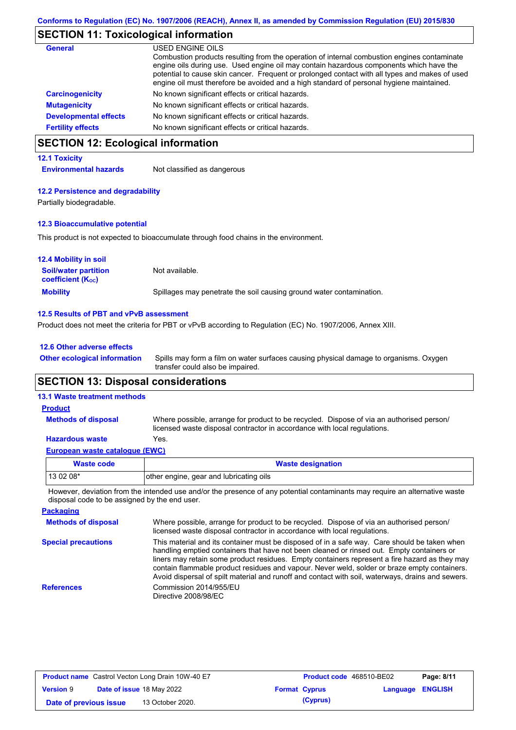# **SECTION 11: Toxicological information**

| General                      | USED ENGINE OILS<br>Combustion products resulting from the operation of internal combustion engines contaminate<br>engine oils during use. Used engine oil may contain hazardous components which have the<br>potential to cause skin cancer. Frequent or prolonged contact with all types and makes of used<br>engine oil must therefore be avoided and a high standard of personal hygiene maintained. |
|------------------------------|----------------------------------------------------------------------------------------------------------------------------------------------------------------------------------------------------------------------------------------------------------------------------------------------------------------------------------------------------------------------------------------------------------|
| <b>Carcinogenicity</b>       | No known significant effects or critical hazards.                                                                                                                                                                                                                                                                                                                                                        |
| <b>Mutagenicity</b>          | No known significant effects or critical hazards.                                                                                                                                                                                                                                                                                                                                                        |
| <b>Developmental effects</b> | No known significant effects or critical hazards.                                                                                                                                                                                                                                                                                                                                                        |
| <b>Fertility effects</b>     | No known significant effects or critical hazards.                                                                                                                                                                                                                                                                                                                                                        |

# **SECTION 12: Ecological information**

### **12.1 Toxicity**

**Environmental hazards** Not classified as dangerous

#### **12.2 Persistence and degradability**

Partially biodegradable.

### **12.3 Bioaccumulative potential**

This product is not expected to bioaccumulate through food chains in the environment.

| <b>12.4 Mobility in soil</b>                                  |                                                                      |
|---------------------------------------------------------------|----------------------------------------------------------------------|
| <b>Soil/water partition</b><br>coefficient (K <sub>oc</sub> ) | Not available.                                                       |
| <b>Mobility</b>                                               | Spillages may penetrate the soil causing ground water contamination. |

#### **12.5 Results of PBT and vPvB assessment**

Product does not meet the criteria for PBT or vPvB according to Regulation (EC) No. 1907/2006, Annex XIII.

| 12.6 Other adverse effects          |           |  |  |  |  |
|-------------------------------------|-----------|--|--|--|--|
| <b>Other ecological information</b> | Spills ma |  |  |  |  |

Spills may form a film on water surfaces causing physical damage to organisms. Oxygen transfer could also be impaired.

## **SECTION 13: Disposal considerations**

### **13.1 Waste treatment methods**

**Methods of disposal**

**Product**

Where possible, arrange for product to be recycled. Dispose of via an authorised person/ licensed waste disposal contractor in accordance with local regulations.

### **Hazardous waste** Yes.

|  | European waste catalogue (EWC) |  |
|--|--------------------------------|--|
|  |                                |  |

| Waste code | <b>Waste designation</b>                |  |
|------------|-----------------------------------------|--|
| $130208*$  | other engine, gear and lubricating oils |  |

However, deviation from the intended use and/or the presence of any potential contaminants may require an alternative waste disposal code to be assigned by the end user.

| <b>Packaging</b>           |                                                                                                                                                                                                                                                                                                                                                                                                                                                                                                 |
|----------------------------|-------------------------------------------------------------------------------------------------------------------------------------------------------------------------------------------------------------------------------------------------------------------------------------------------------------------------------------------------------------------------------------------------------------------------------------------------------------------------------------------------|
| <b>Methods of disposal</b> | Where possible, arrange for product to be recycled. Dispose of via an authorised person/<br>licensed waste disposal contractor in accordance with local regulations.                                                                                                                                                                                                                                                                                                                            |
| <b>Special precautions</b> | This material and its container must be disposed of in a safe way. Care should be taken when<br>handling emptied containers that have not been cleaned or rinsed out. Empty containers or<br>liners may retain some product residues. Empty containers represent a fire hazard as they may<br>contain flammable product residues and vapour. Never weld, solder or braze empty containers.<br>Avoid dispersal of spilt material and runoff and contact with soil, waterways, drains and sewers. |
| <b>References</b>          | Commission 2014/955/EU<br>Directive 2008/98/EC                                                                                                                                                                                                                                                                                                                                                                                                                                                  |

| <b>Product name</b> Castrol Vecton Long Drain 10W-40 E7 |  | <b>Product code</b> 468510-BE02  |  | Page: 8/11           |                         |  |
|---------------------------------------------------------|--|----------------------------------|--|----------------------|-------------------------|--|
| <b>Version 9</b>                                        |  | <b>Date of issue 18 May 2022</b> |  | <b>Format Cyprus</b> | <b>Language ENGLISH</b> |  |
| Date of previous issue                                  |  | 13 October 2020.                 |  | (Cyprus)             |                         |  |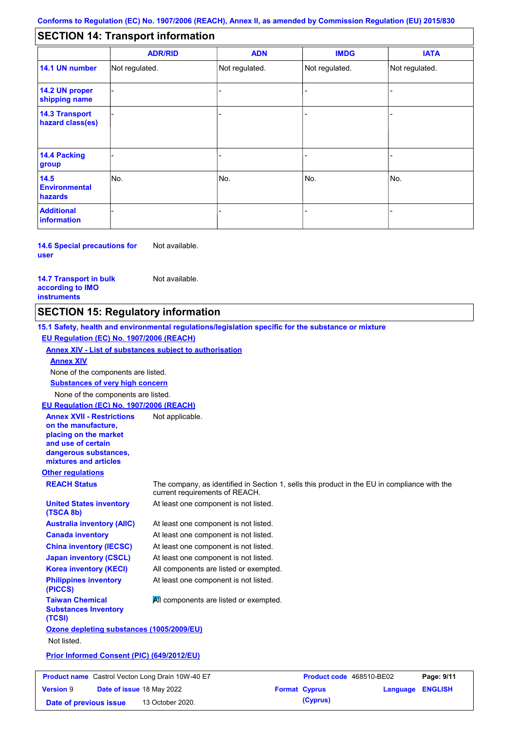#### - - - - - - - - - Not regulated. Not regulated. Not regulated. - - - **SECTION 14: Transport information ADR/RID IMDG IATA 14.1 UN number 14.2 UN proper shipping name 14.3 Transport hazard class(es) 14.4 Packing group ADN Additional information 14.5 Environmental hazards** No. 1980 | No. 1980 | No. 1980 | No. 1980 | No. 1980 | No. 1980 | No. 1980 | No. 1980 | No. 1980 | No. 1980 | Not regulated. - -<br>No. - -

**14.6 Special precautions for user** Not available.

**14.7 Transport in bulk according to IMO instruments**

Not available.

# **SECTION 15: Regulatory information**

**Other regulations REACH Status** The company, as identified in Section 1, sells this product in the EU in compliance with the current requirements of REACH. **15.1 Safety, health and environmental regulations/legislation specific for the substance or mixture EU Regulation (EC) No. 1907/2006 (REACH) Annex XIV - List of substances subject to authorisation Substances of very high concern** None of the components are listed. At least one component is not listed. At least one component is not listed. At least one component is not listed. At least one component is not listed. At least one component is not listed. All components are listed or exempted. At least one component is not listed. **United States inventory (TSCA 8b) Australia inventory (AIIC) Canada inventory China inventory (IECSC) Japan inventory (CSCL) Korea inventory (KECI) Philippines inventory (PICCS) Taiwan Chemical Substances Inventory (TCSI) All components are listed or exempted. Ozone depleting substances (1005/2009/EU)** Not listed. **Prior Informed Consent (PIC) (649/2012/EU)** None of the components are listed. **Annex XIV EU Regulation (EC) No. 1907/2006 (REACH) Annex XVII - Restrictions on the manufacture, placing on the market and use of certain dangerous substances, mixtures and articles** Not applicable. **Product name**

| <b>Product name</b> Castrol Vecton Long Drain 10W-40 E7 |                                  | Product code 468510-BE02 |  | Page: 9/11           |                         |  |
|---------------------------------------------------------|----------------------------------|--------------------------|--|----------------------|-------------------------|--|
| <b>Version 9</b>                                        | <b>Date of issue 18 May 2022</b> |                          |  | <b>Format Cyprus</b> | <b>Language ENGLISH</b> |  |
| Date of previous issue                                  |                                  | 13 October 2020.         |  | (Cyprus)             |                         |  |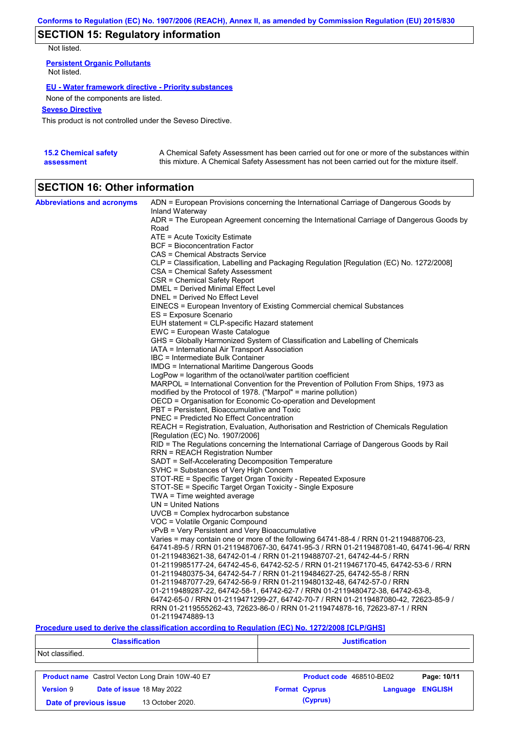# **SECTION 15: Regulatory information**

Not listed.

**Persistent Organic Pollutants** Not listed.

### **EU - Water framework directive - Priority substances**

None of the components are listed.

### **Seveso Directive**

This product is not controlled under the Seveso Directive.

| <b>15.2 Chemical safety</b> | A Chemical Safety Assessment has been carried out for one or more of the substances within  |
|-----------------------------|---------------------------------------------------------------------------------------------|
| assessment                  | this mixture. A Chemical Safety Assessment has not been carried out for the mixture itself. |

# **SECTION 16: Other information**

| <b>Abbreviations and acronyms</b> | ADN = European Provisions concerning the International Carriage of Dangerous Goods by    |
|-----------------------------------|------------------------------------------------------------------------------------------|
|                                   | Inland Waterway                                                                          |
|                                   | ADR = The European Agreement concerning the International Carriage of Dangerous Goods by |
|                                   | Road                                                                                     |
|                                   | ATE = Acute Toxicity Estimate                                                            |
|                                   | <b>BCF</b> = Bioconcentration Factor                                                     |
|                                   | CAS = Chemical Abstracts Service                                                         |
|                                   | CLP = Classification, Labelling and Packaging Regulation [Regulation (EC) No. 1272/2008] |
|                                   | CSA = Chemical Safety Assessment                                                         |
|                                   | CSR = Chemical Safety Report                                                             |
|                                   | DMEL = Derived Minimal Effect Level                                                      |
|                                   | DNEL = Derived No Effect Level                                                           |
|                                   | EINECS = European Inventory of Existing Commercial chemical Substances                   |
|                                   | ES = Exposure Scenario                                                                   |
|                                   | EUH statement = CLP-specific Hazard statement                                            |
|                                   | EWC = European Waste Catalogue                                                           |
|                                   | GHS = Globally Harmonized System of Classification and Labelling of Chemicals            |
|                                   | IATA = International Air Transport Association                                           |
|                                   | IBC = Intermediate Bulk Container                                                        |
|                                   | IMDG = International Maritime Dangerous Goods                                            |
|                                   | LogPow = logarithm of the octanol/water partition coefficient                            |
|                                   | MARPOL = International Convention for the Prevention of Pollution From Ships, 1973 as    |
|                                   | modified by the Protocol of 1978. ("Marpol" = marine pollution)                          |
|                                   | OECD = Organisation for Economic Co-operation and Development                            |
|                                   | PBT = Persistent, Bioaccumulative and Toxic                                              |
|                                   | <b>PNEC</b> = Predicted No Effect Concentration                                          |
|                                   | REACH = Registration, Evaluation, Authorisation and Restriction of Chemicals Regulation  |
|                                   | [Regulation (EC) No. 1907/2006]                                                          |
|                                   | RID = The Regulations concerning the International Carriage of Dangerous Goods by Rail   |
|                                   | <b>RRN = REACH Registration Number</b>                                                   |
|                                   | SADT = Self-Accelerating Decomposition Temperature                                       |
|                                   | SVHC = Substances of Very High Concern                                                   |
|                                   | STOT-RE = Specific Target Organ Toxicity - Repeated Exposure                             |
|                                   | STOT-SE = Specific Target Organ Toxicity - Single Exposure                               |
|                                   | TWA = Time weighted average                                                              |
|                                   | $UN = United Nations$                                                                    |
|                                   | $UVCB = Complex\;hydrocarbon\; substance$                                                |
|                                   | VOC = Volatile Organic Compound                                                          |
|                                   | vPvB = Very Persistent and Very Bioaccumulative                                          |
|                                   | Varies = may contain one or more of the following $64741-88-4$ / RRN 01-2119488706-23,   |
|                                   | 64741-89-5 / RRN 01-2119487067-30, 64741-95-3 / RRN 01-2119487081-40, 64741-96-4/ RRN    |
|                                   | 01-2119483621-38, 64742-01-4 / RRN 01-2119488707-21, 64742-44-5 / RRN                    |
|                                   | 01-2119985177-24, 64742-45-6, 64742-52-5 / RRN 01-2119467170-45, 64742-53-6 / RRN        |
|                                   | 01-2119480375-34, 64742-54-7 / RRN 01-2119484627-25, 64742-55-8 / RRN                    |
|                                   | 01-2119487077-29, 64742-56-9 / RRN 01-2119480132-48, 64742-57-0 / RRN                    |
|                                   | 01-2119489287-22, 64742-58-1, 64742-62-7 / RRN 01-2119480472-38, 64742-63-8,             |
|                                   | 64742-65-0 / RRN 01-2119471299-27, 64742-70-7 / RRN 01-2119487080-42, 72623-85-9 /       |
|                                   | RRN 01-2119555262-43, 72623-86-0 / RRN 01-2119474878-16, 72623-87-1 / RRN                |
|                                   | 01-2119474889-13                                                                         |

### **Procedure used to derive the classification according to Regulation (EC) No. 1272/2008 [CLP/GHS]**

| <b>Classification</b>                      |                                                         | <b>Justification</b>     |          |                |  |
|--------------------------------------------|---------------------------------------------------------|--------------------------|----------|----------------|--|
| Not classified.                            |                                                         |                          |          |                |  |
|                                            | <b>Product name</b> Castrol Vecton Long Drain 10W-40 E7 | Product code 468510-BE02 |          | Page: 10/11    |  |
| <b>Version 9</b>                           | Date of issue 18 May 2022                               | <b>Format Cyprus</b>     | Language | <b>ENGLISH</b> |  |
| 13 October 2020.<br>Date of previous issue |                                                         | (Cyprus)                 |          |                |  |